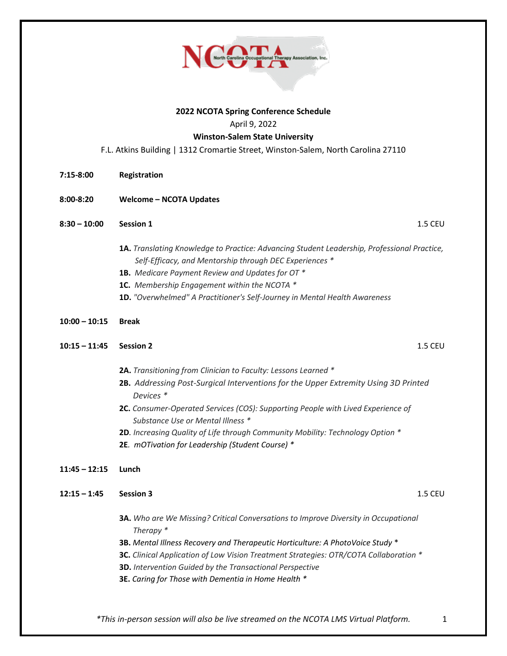

## **2022 NCOTA Spring Conference Schedule**

April 9, 2022

## **Winston-Salem State University**

F.L. Atkins Building | 1312 Cromartie Street, Winston-Salem, North Carolina 27110

- **7:15-8:00 Registration**
- **8:00-8:20 Welcome – NCOTA Updates**
- **8:30 – 10:00 Session 1** 1.5 CEU
	- **1A.** *Translating Knowledge to Practice: Advancing Student Leadership, Professional Practice, Self-Efficacy, and Mentorship through DEC Experiences \**
	- **1B.** *Medicare Payment Review and Updates for OT \**
	- **1C.** *Membership Engagement within the NCOTA \**
	- **1D.** *"Overwhelmed" A Practitioner's Self-Journey in Mental Health Awareness*
- **10:00 – 10:15 Break**
- **10:15 – 11:45 Session 2** 1.5 CEU
	- **2A.** *Transitioning from Clinician to Faculty: Lessons Learned \**
	- **2B.** *Addressing Post-Surgical Interventions for the Upper Extremity Using 3D Printed*  *Devices \**
	- **2C.** *Consumer-Operated Services (COS): Supporting People with Lived Experience of Substance Use or Mental Illness \**
	- **2D***. Increasing Quality of Life through Community Mobility: Technology Option \**
	- **2E***. mOTivation for Leadership (Student Course) \**
- **11:45 – 12:15 Lunch**
- **12:15 – 1:45 Session 3** 1.5 CEU
	- **3A.** *Who are We Missing? Critical Conversations to Improve Diversity in Occupational*  *Therapy \**
	- **3B.** *Mental Illness Recovery and Therapeutic Horticulture: A PhotoVoice Study* \*
	- **3C.** *Clinical Application of Low Vision Treatment Strategies: OTR/COTA Collaboration \**
	- **3D.** *Intervention Guided by the Transactional Perspective*
	- **3E.** *Caring for Those with Dementia in Home Health \**

*\*This in-person session will also be live streamed on the NCOTA LMS Virtual Platform.* 1